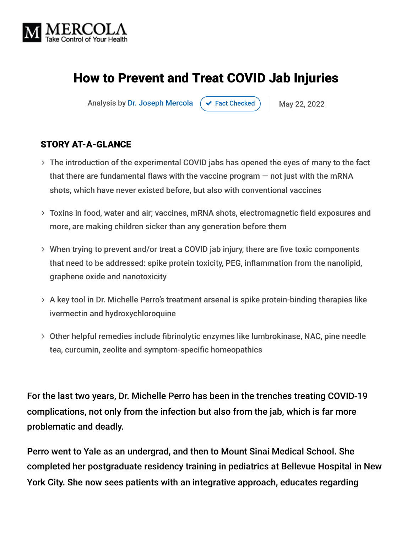

# How to Prevent and Treat COVID Jab Injuries

Analysis by [Dr. Joseph Mercola](https://www.mercola.com/forms/background.htm)  $\left( \right. \times$  [Fact Checked](javascript:void(0))  $\left. \right)$  May 22, 2022

#### STORY AT-A-GLANCE

- The introduction of the experimental COVID jabs has opened the eyes of many to the fact that there are fundamental flaws with the vaccine program — not just with the mRNA shots, which have never existed before, but also with conventional vaccines
- Toxins in food, water and air; vaccines, mRNA shots, electromagnetic field exposures and more, are making children sicker than any generation before them
- When trying to prevent and/or treat a COVID jab injury, there are five toxic components that need to be addressed: spike protein toxicity, PEG, inflammation from the nanolipid, graphene oxide and nanotoxicity
- A key tool in Dr. Michelle Perro's treatment arsenal is spike protein-binding therapies like ivermectin and hydroxychloroquine
- Other helpful remedies include fibrinolytic enzymes like lumbrokinase, NAC, pine needle tea, curcumin, zeolite and symptom-specific homeopathics

For the last two years, Dr. Michelle Perro has been in the trenches treating COVID-19 complications, not only from the infection but also from the jab, which is far more problematic and deadly.

Perro went to Yale as an undergrad, and then to Mount Sinai Medical School. She completed her postgraduate residency training in pediatrics at Bellevue Hospital in New York City. She now sees patients with an integrative approach, educates regarding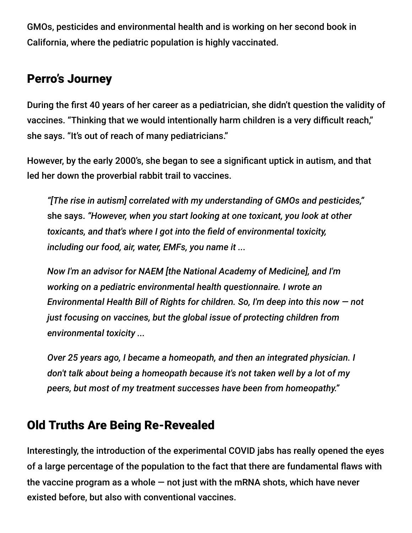GMOs, pesticides and environmental health and is working on her second book in California, where the pediatric population is highly vaccinated.

## Perro's Journey

During the first 40 years of her career as a pediatrician, she didn't question the validity of vaccines. "Thinking that we would intentionally harm children is a very difficult reach," she says. "It's out of reach of many pediatricians."

However, by the early 2000's, she began to see a significant uptick in autism, and that led her down the proverbial rabbit trail to vaccines.

*"[The rise in autism] correlated with my understanding of GMOs and pesticides,"* she says. *"However, when you start looking at one toxicant, you look at other toxicants, and that's where I got into the field of environmental toxicity, including our food, air, water, EMFs, you name it ...*

*Now I'm an advisor for NAEM [the National Academy of Medicine], and I'm working on a pediatric environmental health questionnaire. I wrote an Environmental Health Bill of Rights for children. So, I'm deep into this now — not just focusing on vaccines, but the global issue of protecting children from environmental toxicity ...*

*Over 25 years ago, I became a homeopath, and then an integrated physician. I don't talk about being a homeopath because it's not taken well by a lot of my peers, but most of my treatment successes have been from homeopathy."*

### Old Truths Are Being Re-Revealed

Interestingly, the introduction of the experimental COVID jabs has really opened the eyes of a large percentage of the population to the fact that there are fundamental flaws with the vaccine program as a whole  $-$  not just with the mRNA shots, which have never existed before, but also with conventional vaccines.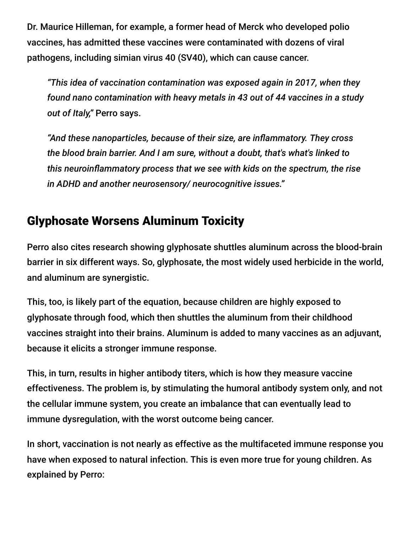Dr. Maurice Hilleman, for example, a former head of Merck who developed polio vaccines, has admitted these vaccines were contaminated with dozens of viral pathogens, including simian virus 40 (SV40), which can cause cancer.

*"This idea of vaccination contamination was exposed again in 2017, when they found nano contamination with heavy metals in 43 out of 44 vaccines in a study out of Italy,"* Perro says.

*"And these nanoparticles, because of their size, are inflammatory. They cross the blood brain barrier. And I am sure, without a doubt, that's what's linked to this neuroinflammatory process that we see with kids on the spectrum, the rise in ADHD and another neurosensory/ neurocognitive issues."*

## Glyphosate Worsens Aluminum Toxicity

Perro also cites research showing glyphosate shuttles aluminum across the blood-brain barrier in six different ways. So, glyphosate, the most widely used herbicide in the world, and aluminum are synergistic.

This, too, is likely part of the equation, because children are highly exposed to glyphosate through food, which then shuttles the aluminum from their childhood vaccines straight into their brains. Aluminum is added to many vaccines as an adjuvant, because it elicits a stronger immune response.

This, in turn, results in higher antibody titers, which is how they measure vaccine effectiveness. The problem is, by stimulating the humoral antibody system only, and not the cellular immune system, you create an imbalance that can eventually lead to immune dysregulation, with the worst outcome being cancer.

In short, vaccination is not nearly as effective as the multifaceted immune response you have when exposed to natural infection. This is even more true for young children. As explained by Perro: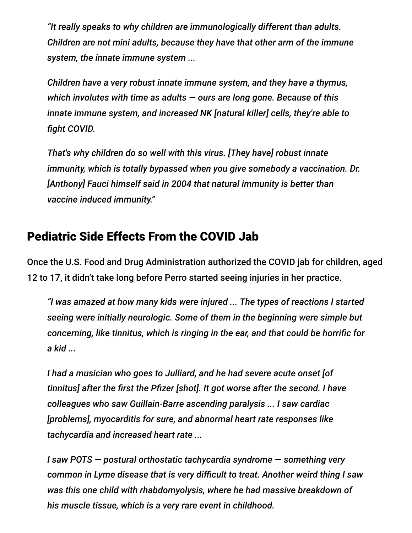*"It really speaks to why children are immunologically different than adults. Children are not mini adults, because they have that other arm of the immune system, the innate immune system ...*

*Children have a very robust innate immune system, and they have a thymus, which involutes with time as adults — ours are long gone. Because of this innate immune system, and increased NK [natural killer] cells, they're able to fight COVID.*

*That's why children do so well with this virus. [They have] robust innate immunity, which is totally bypassed when you give somebody a vaccination. Dr. [Anthony] Fauci himself said in 2004 that natural immunity is better than vaccine induced immunity."*

#### Pediatric Side Effects From the COVID Jab

Once the U.S. Food and Drug Administration authorized the COVID jab for children, aged 12 to 17, it didn't take long before Perro started seeing injuries in her practice.

*"I was amazed at how many kids were injured ... The types of reactions I started seeing were initially neurologic. Some of them in the beginning were simple but concerning, like tinnitus, which is ringing in the ear, and that could be horrific for a kid ...*

*I had a musician who goes to Julliard, and he had severe acute onset [of tinnitus] after the first the Pfizer [shot]. It got worse after the second. I have colleagues who saw Guillain-Barre ascending paralysis ... I saw cardiac [problems], myocarditis for sure, and abnormal heart rate responses like tachycardia and increased heart rate ...*

*I saw POTS — postural orthostatic tachycardia syndrome — something very common in Lyme disease that is very difficult to treat. Another weird thing I saw was this one child with rhabdomyolysis, where he had massive breakdown of his muscle tissue, which is a very rare event in childhood.*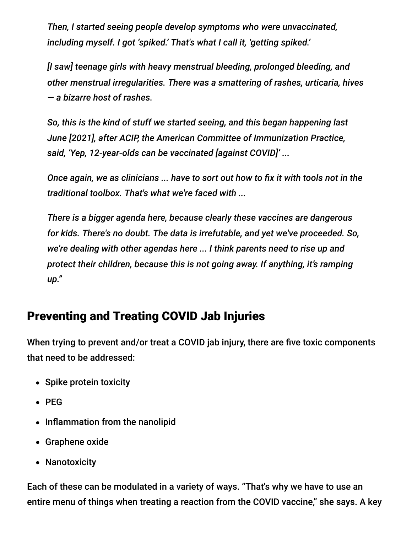*Then, I started seeing people develop symptoms who were unvaccinated, including myself. I got 'spiked.' That's what I call it, 'getting spiked.'*

*[I saw] teenage girls with heavy menstrual bleeding, prolonged bleeding, and other menstrual irregularities. There was a smattering of rashes, urticaria, hives — a bizarre host of rashes.*

*So, this is the kind of stuff we started seeing, and this began happening last June [2021], after ACIP, the American Committee of Immunization Practice, said, 'Yep, 12-year-olds can be vaccinated [against COVID]' ...*

*Once again, we as clinicians ... have to sort out how to fix it with tools not in the traditional toolbox. That's what we're faced with ...*

*There is a bigger agenda here, because clearly these vaccines are dangerous for kids. There's no doubt. The data is irrefutable, and yet we've proceeded. So, we're dealing with other agendas here ... I think parents need to rise up and protect their children, because this is not going away. If anything, it's ramping up."*

### Preventing and Treating COVID Jab Injuries

When trying to prevent and/or treat a COVID jab injury, there are five toxic components that need to be addressed:

- Spike protein toxicity
- $\bullet$  PEG
- Inflammation from the nanolipid
- Graphene oxide
- Nanotoxicity

Each of these can be modulated in a variety of ways. "That's why we have to use an entire menu of things when treating a reaction from the COVID vaccine," she says. A key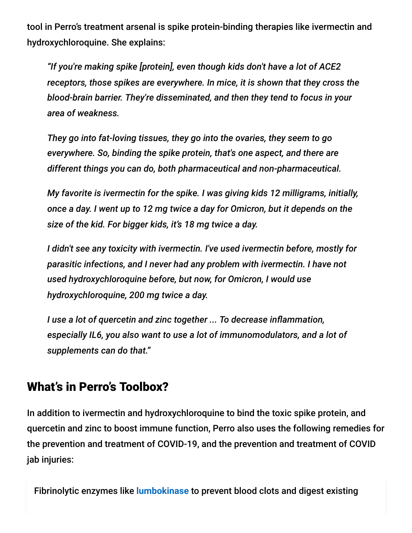tool in Perro's treatment arsenal is spike protein-binding therapies like ivermectin and hydroxychloroquine. She explains:

*"If you're making spike [protein], even though kids don't have a lot of ACE2 receptors, those spikes are everywhere. In mice, it is shown that they cross the blood-brain barrier. They're disseminated, and then they tend to focus in your area of weakness.*

*They go into fat-loving tissues, they go into the ovaries, they seem to go everywhere. So, binding the spike protein, that's one aspect, and there are different things you can do, both pharmaceutical and non-pharmaceutical.*

*My favorite is ivermectin for the spike. I was giving kids 12 milligrams, initially, once a day. I went up to 12 mg twice a day for Omicron, but it depends on the size of the kid. For bigger kids, it's 18 mg twice a day.*

*I didn't see any toxicity with ivermectin. I've used ivermectin before, mostly for parasitic infections, and I never had any problem with ivermectin. I have not used hydroxychloroquine before, but now, for Omicron, I would use hydroxychloroquine, 200 mg twice a day.*

*I use a lot of quercetin and zinc together ... To decrease inflammation, especially IL6, you also want to use a lot of immunomodulators, and a lot of supplements can do that."*

#### What's in Perro's Toolbox?

In addition to ivermectin and hydroxychloroquine to bind the toxic spike protein, and quercetin and zinc to boost immune function, Perro also uses the following remedies for the prevention and treatment of COVID-19, and the prevention and treatment of COVID jab injuries:

Fibrinolytic enzymes like **[lumbokinase](https://takecontrol.substack.com/p/treating-long-haul-syndrome?s=r)** to prevent blood clots and digest existing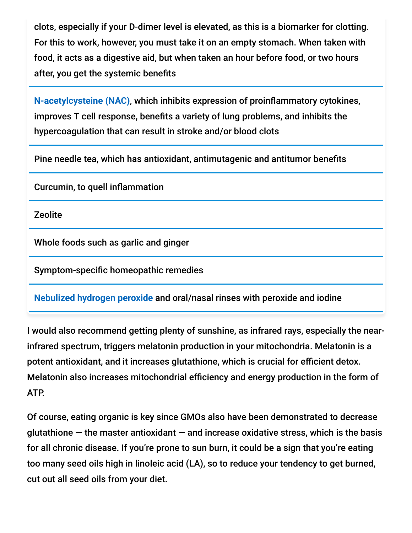clots, especially if your D-dimer level is elevated, as this is a biomarker for clotting. For this to work, however, you must take it on an empty stomach. When taken with food, it acts as a digestive aid, but when taken an hour before food, or two hours after, you get the systemic benefits

**[N-acetylcysteine \(NAC\)](https://takecontrol.substack.com/p/coronavirus-n-acetylcysteine?s=r)**, which inhibits expression of proinflammatory cytokines, improves T cell response, benefits a variety of lung problems, and inhibits the hypercoagulation that can result in stroke and/or blood clots

Pine needle tea, which has antioxidant, antimutagenic and antitumor benefits

Curcumin, to quell inflammation

Zeolite

Whole foods such as garlic and ginger

Symptom-specific homeopathic remedies

**[Nebulized hydrogen peroxide](https://takecontrol.substack.com/p/nebulized-peroxide?s=r)** and oral/nasal rinses with peroxide and iodine

I would also recommend getting plenty of sunshine, as infrared rays, especially the nearinfrared spectrum, triggers melatonin production in your mitochondria. Melatonin is a potent antioxidant, and it increases glutathione, which is crucial for efficient detox. Melatonin also increases mitochondrial efficiency and energy production in the form of ATP.

Of course, eating organic is key since GMOs also have been demonstrated to decrease glutathione  $-$  the master antioxidant  $-$  and increase oxidative stress, which is the basis for all chronic disease. If you're prone to sun burn, it could be a sign that you're eating too many seed oils high in linoleic acid (LA), so to reduce your tendency to get burned, cut out all seed oils from your diet.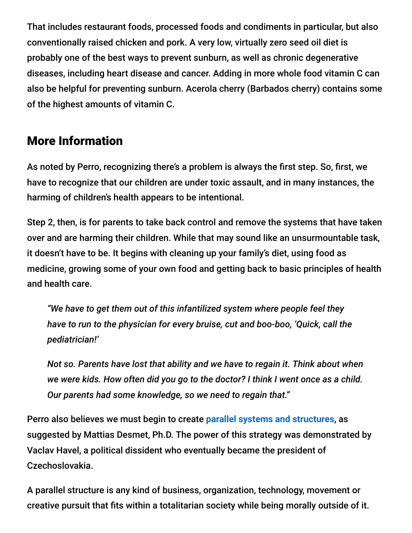That includes restaurant foods, processed foods and condiments in particular, but also conventionally raised chicken and pork. A very low, virtually zero seed oil diet is probably one of the best ways to prevent sunburn, as well as chronic degenerative diseases, including heart disease and cancer. Adding in more whole food vitamin C can also be helpful for preventing sunburn. Acerola cherry (Barbados cherry) contains some of the highest amounts of vitamin C.

## More Information

As noted by Perro, recognizing there's a problem is always the first step. So, first, we have to recognize that our children are under toxic assault, and in many instances, the harming of children's health appears to be intentional.

Step 2, then, is for parents to take back control and remove the systems that have taken over and are harming their children. While that may sound like an unsurmountable task, it doesn't have to be. It begins with cleaning up your family's diet, using food as medicine, growing some of your own food and getting back to basic principles of health and health care.

*"We have to get them out of this infantilized system where people feel they have to run to the physician for every bruise, cut and boo-boo, 'Quick, call the pediatrician!'*

*Not so. Parents have lost that ability and we have to regain it. Think about when we were kids. How often did you go to the doctor? I think I went once as a child. Our parents had some knowledge, so we need to regain that."*

Perro also believes we must begin to create **[parallel systems and structures](https://takecontrol.substack.com/p/mass-formation-totalitarianism?s=r)**, as suggested by Mattias Desmet, Ph.D. The power of this strategy was demonstrated by Vaclav Havel, a political dissident who eventually became the president of Czechoslovakia.

A parallel structure is any kind of business, organization, technology, movement or creative pursuit that fits within a totalitarian society while being morally outside of it.